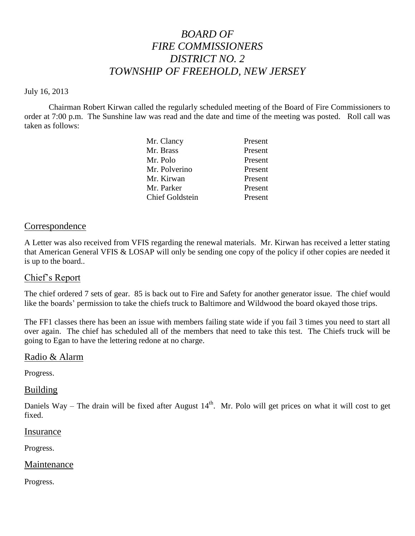# *BOARD OF FIRE COMMISSIONERS DISTRICT NO. 2 TOWNSHIP OF FREEHOLD, NEW JERSEY*

#### July 16, 2013

Chairman Robert Kirwan called the regularly scheduled meeting of the Board of Fire Commissioners to order at 7:00 p.m. The Sunshine law was read and the date and time of the meeting was posted. Roll call was taken as follows:

| Mr. Clancy             | Present |
|------------------------|---------|
| Mr. Brass              | Present |
| Mr. Polo               | Present |
| Mr. Polverino          | Present |
| Mr. Kirwan             | Present |
| Mr. Parker             | Present |
| <b>Chief Goldstein</b> | Present |
|                        |         |

#### Correspondence

A Letter was also received from VFIS regarding the renewal materials. Mr. Kirwan has received a letter stating that American General VFIS & LOSAP will only be sending one copy of the policy if other copies are needed it is up to the board..

## Chief's Report

The chief ordered 7 sets of gear. 85 is back out to Fire and Safety for another generator issue. The chief would like the boards' permission to take the chiefs truck to Baltimore and Wildwood the board okayed those trips.

The FF1 classes there has been an issue with members failing state wide if you fail 3 times you need to start all over again. The chief has scheduled all of the members that need to take this test. The Chiefs truck will be going to Egan to have the lettering redone at no charge.

## Radio & Alarm

Progress.

#### **Building**

Daniels Way – The drain will be fixed after August  $14<sup>th</sup>$ . Mr. Polo will get prices on what it will cost to get fixed.

#### Insurance

Progress.

#### Maintenance

Progress.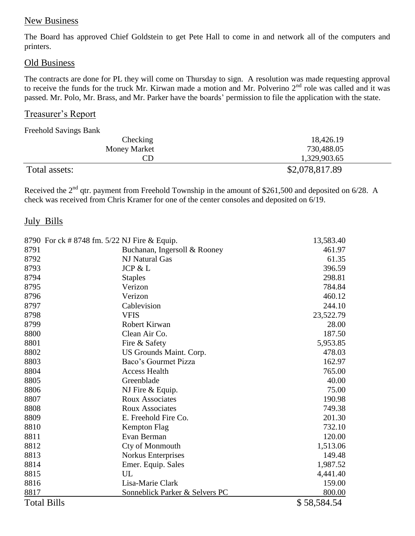# New Business

The Board has approved Chief Goldstein to get Pete Hall to come in and network all of the computers and printers.

# Old Business

The contracts are done for PL they will come on Thursday to sign. A resolution was made requesting approval to receive the funds for the truck Mr. Kirwan made a motion and Mr. Polverino  $2<sup>nd</sup>$  role was called and it was passed. Mr. Polo, Mr. Brass, and Mr. Parker have the boards' permission to file the application with the state.

# Treasurer's Report

Freehold Savings Bank

| Checking            | 18,426.19      |
|---------------------|----------------|
| <b>Money Market</b> | 730,488.05     |
| CD                  | 1,329,903.65   |
| Total assets:       | \$2,078,817.89 |

Received the 2<sup>nd</sup> qtr. payment from Freehold Township in the amount of \$261,500 and deposited on 6/28. A check was received from Chris Kramer for one of the center consoles and deposited on 6/19.

# July Bills

|                    | 8790 For ck # 8748 fm. 5/22 NJ Fire & Equip. | 13,583.40   |
|--------------------|----------------------------------------------|-------------|
| 8791               | Buchanan, Ingersoll & Rooney                 | 461.97      |
| 8792               | NJ Natural Gas                               | 61.35       |
| 8793               | JCP & L                                      | 396.59      |
| 8794               | <b>Staples</b>                               | 298.81      |
| 8795               | Verizon                                      | 784.84      |
| 8796               | Verizon                                      | 460.12      |
| 8797               | Cablevision                                  | 244.10      |
| 8798               | <b>VFIS</b>                                  | 23,522.79   |
| 8799               | Robert Kirwan                                | 28.00       |
| 8800               | Clean Air Co.                                | 187.50      |
| 8801               | Fire & Safety                                | 5,953.85    |
| 8802               | US Grounds Maint. Corp.                      | 478.03      |
| 8803               | Baco's Gourmet Pizza                         | 162.97      |
| 8804               | <b>Access Health</b>                         | 765.00      |
| 8805               | Greenblade                                   | 40.00       |
| 8806               | NJ Fire & Equip.                             | 75.00       |
| 8807               | <b>Roux Associates</b>                       | 190.98      |
| 8808               | <b>Roux Associates</b>                       | 749.38      |
| 8809               | E. Freehold Fire Co.                         | 201.30      |
| 8810               | Kempton Flag                                 | 732.10      |
| 8811               | Evan Berman                                  | 120.00      |
| 8812               | Cty of Monmouth                              | 1,513.06    |
| 8813               | Norkus Enterprises                           | 149.48      |
| 8814               | Emer. Equip. Sales                           | 1,987.52    |
| 8815               | UL                                           | 4,441.40    |
| 8816               | Lisa-Marie Clark                             | 159.00      |
| 8817               | Sonneblick Parker & Selvers PC               | 800.00      |
| <b>Total Bills</b> |                                              | \$58,584.54 |